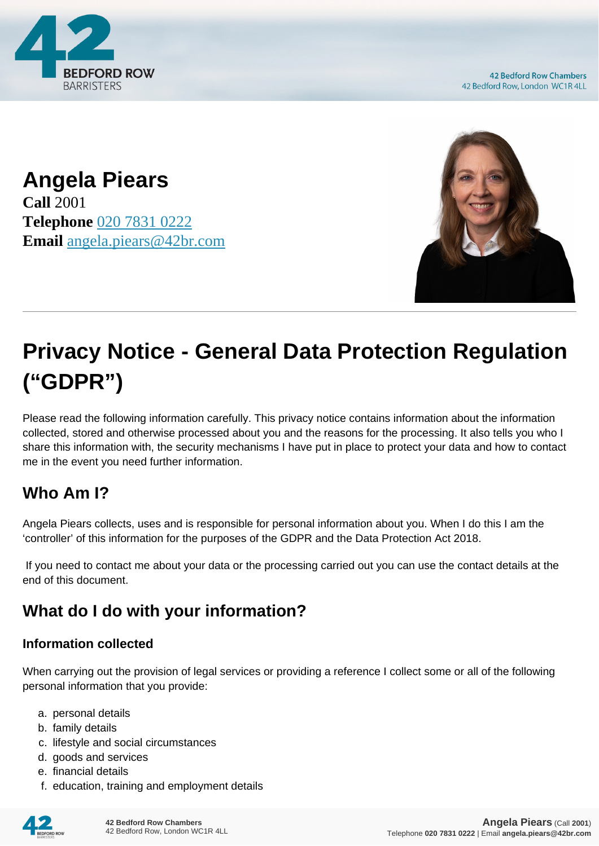

**42 Bedford Row Chambers** 42 Bedford Row, London WC1R 4LL

**Angela Piears Call** 2001 **Telephone** [020 7831 0222](https://pdf.codeshore.co/_42br/tel:020 7831 0222) **Email** [angela.piears@42br.com](mailto:angela.piears@42br.com)



# **Privacy Notice - General Data Protection Regulation ("GDPR")**

Please read the following information carefully. This privacy notice contains information about the information collected, stored and otherwise processed about you and the reasons for the processing. It also tells you who I share this information with, the security mechanisms I have put in place to protect your data and how to contact me in the event you need further information.

# **Who Am I?**

Angela Piears collects, uses and is responsible for personal information about you. When I do this I am the 'controller' of this information for the purposes of the GDPR and the Data Protection Act 2018.

 If you need to contact me about your data or the processing carried out you can use the contact details at the end of this document.

# **What do I do with your information?**

#### **Information collected**

When carrying out the provision of legal services or providing a reference I collect some or all of the following personal information that you provide:

- a. personal details
- b. family details
- c. lifestyle and social circumstances
- d. goods and services
- e. financial details
- f. education, training and employment details

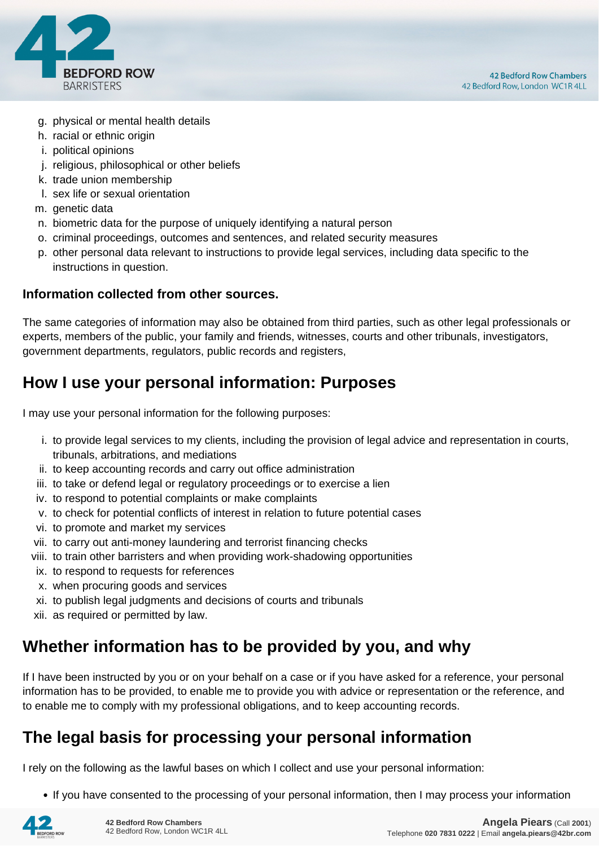

- g. physical or mental health details
- h. racial or ethnic origin
- i. political opinions
- j. religious, philosophical or other beliefs
- k. trade union membership
- l. sex life or sexual orientation
- m. genetic data
- n. biometric data for the purpose of uniquely identifying a natural person
- o. criminal proceedings, outcomes and sentences, and related security measures
- p. other personal data relevant to instructions to provide legal services, including data specific to the instructions in question.

#### **Information collected from other sources.**

The same categories of information may also be obtained from third parties, such as other legal professionals or experts, members of the public, your family and friends, witnesses, courts and other tribunals, investigators, government departments, regulators, public records and registers,

## **How I use your personal information: Purposes**

I may use your personal information for the following purposes:

- i. to provide legal services to my clients, including the provision of legal advice and representation in courts, tribunals, arbitrations, and mediations
- ii. to keep accounting records and carry out office administration
- iii. to take or defend legal or regulatory proceedings or to exercise a lien
- iv. to respond to potential complaints or make complaints
- v. to check for potential conflicts of interest in relation to future potential cases
- vi. to promote and market my services
- vii. to carry out anti-money laundering and terrorist financing checks
- viii. to train other barristers and when providing work-shadowing opportunities
- ix. to respond to requests for references
- x. when procuring goods and services
- xi. to publish legal judgments and decisions of courts and tribunals
- xii. as required or permitted by law.

## **Whether information has to be provided by you, and why**

If I have been instructed by you or on your behalf on a case or if you have asked for a reference, your personal information has to be provided, to enable me to provide you with advice or representation or the reference, and to enable me to comply with my professional obligations, and to keep accounting records.

## **The legal basis for processing your personal information**

I rely on the following as the lawful bases on which I collect and use your personal information:

• If you have consented to the processing of your personal information, then I may process your information

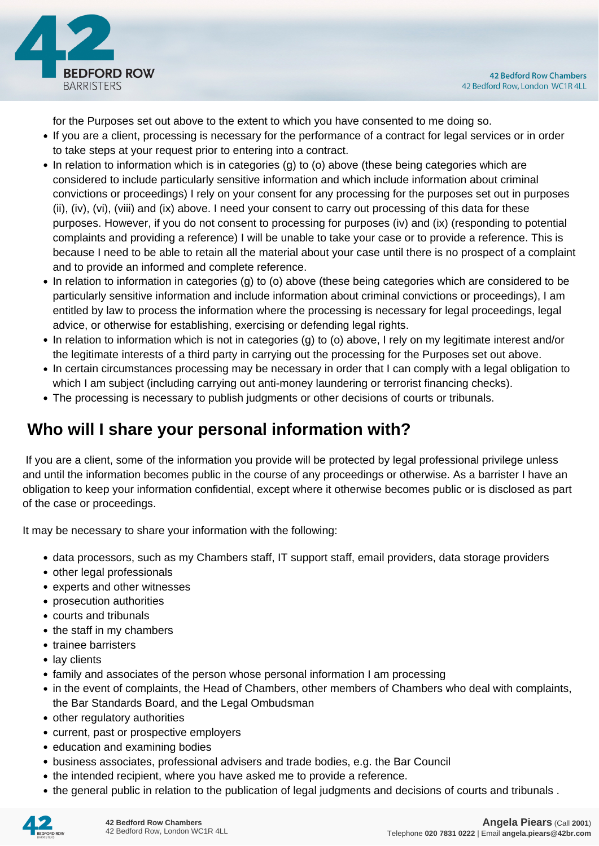

for the Purposes set out above to the extent to which you have consented to me doing so.

- If you are a client, processing is necessary for the performance of a contract for legal services or in order to take steps at your request prior to entering into a contract.
- In relation to information which is in categories (g) to (o) above (these being categories which are considered to include particularly sensitive information and which include information about criminal convictions or proceedings) I rely on your consent for any processing for the purposes set out in purposes (ii), (iv), (vi), (viii) and (ix) above. I need your consent to carry out processing of this data for these purposes. However, if you do not consent to processing for purposes (iv) and (ix) (responding to potential complaints and providing a reference) I will be unable to take your case or to provide a reference. This is because I need to be able to retain all the material about your case until there is no prospect of a complaint and to provide an informed and complete reference.
- In relation to information in categories (g) to (o) above (these being categories which are considered to be particularly sensitive information and include information about criminal convictions or proceedings), I am entitled by law to process the information where the processing is necessary for legal proceedings, legal advice, or otherwise for establishing, exercising or defending legal rights.
- In relation to information which is not in categories (g) to (o) above, I rely on my legitimate interest and/or the legitimate interests of a third party in carrying out the processing for the Purposes set out above.
- In certain circumstances processing may be necessary in order that I can comply with a legal obligation to which I am subject (including carrying out anti-money laundering or terrorist financing checks).
- The processing is necessary to publish judgments or other decisions of courts or tribunals.

# **Who will I share your personal information with?**

 If you are a client, some of the information you provide will be protected by legal professional privilege unless and until the information becomes public in the course of any proceedings or otherwise. As a barrister I have an obligation to keep your information confidential, except where it otherwise becomes public or is disclosed as part of the case or proceedings.

It may be necessary to share your information with the following:

- data processors, such as my Chambers staff, IT support staff, email providers, data storage providers
- other legal professionals
- experts and other witnesses
- prosecution authorities
- courts and tribunals
- the staff in my chambers
- trainee barristers
- lay clients
- family and associates of the person whose personal information I am processing
- in the event of complaints, the Head of Chambers, other members of Chambers who deal with complaints, the Bar Standards Board, and the Legal Ombudsman
- other regulatory authorities
- current, past or prospective employers
- education and examining bodies
- business associates, professional advisers and trade bodies, e.g. the Bar Council
- the intended recipient, where you have asked me to provide a reference.
- the general public in relation to the publication of legal judgments and decisions of courts and tribunals .

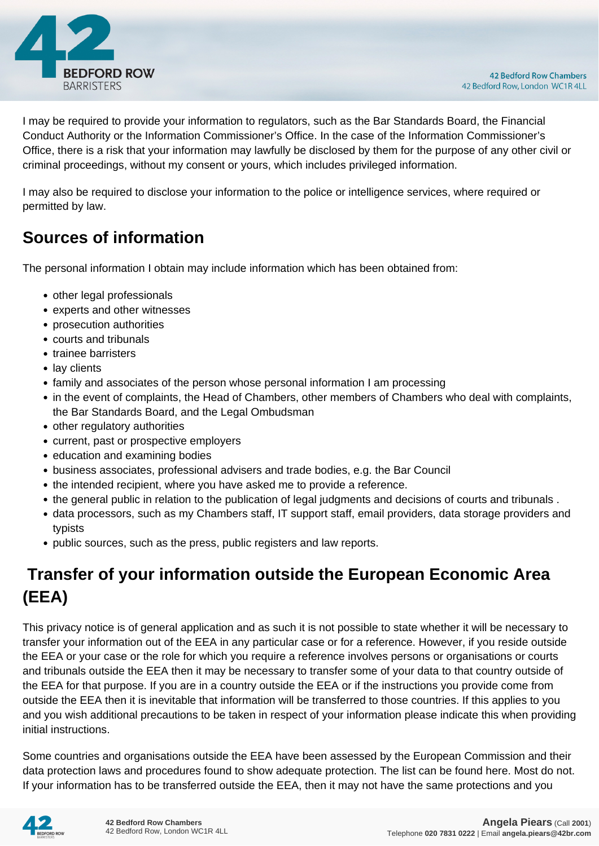

I may be required to provide your information to regulators, such as the Bar Standards Board, the Financial Conduct Authority or the Information Commissioner's Office. In the case of the Information Commissioner's Office, there is a risk that your information may lawfully be disclosed by them for the purpose of any other civil or criminal proceedings, without my consent or yours, which includes privileged information.

I may also be required to disclose your information to the police or intelligence services, where required or permitted by law.

# **Sources of information**

The personal information I obtain may include information which has been obtained from:

- other legal professionals
- experts and other witnesses
- prosecution authorities
- courts and tribunals
- trainee barristers
- lay clients
- family and associates of the person whose personal information I am processing
- in the event of complaints, the Head of Chambers, other members of Chambers who deal with complaints, the Bar Standards Board, and the Legal Ombudsman
- other regulatory authorities
- current, past or prospective employers
- education and examining bodies
- business associates, professional advisers and trade bodies, e.g. the Bar Council
- the intended recipient, where you have asked me to provide a reference.
- the general public in relation to the publication of legal judgments and decisions of courts and tribunals .
- data processors, such as my Chambers staff, IT support staff, email providers, data storage providers and typists
- public sources, such as the press, public registers and law reports.

# **Transfer of your information outside the European Economic Area (EEA)**

This privacy notice is of general application and as such it is not possible to state whether it will be necessary to transfer your information out of the EEA in any particular case or for a reference. However, if you reside outside the EEA or your case or the role for which you require a reference involves persons or organisations or courts and tribunals outside the EEA then it may be necessary to transfer some of your data to that country outside of the EEA for that purpose. If you are in a country outside the EEA or if the instructions you provide come from outside the EEA then it is inevitable that information will be transferred to those countries. If this applies to you and you wish additional precautions to be taken in respect of your information please indicate this when providing initial instructions.

Some countries and organisations outside the EEA have been assessed by the European Commission and their data protection laws and procedures found to show adequate protection. The list can be found here. Most do not. If your information has to be transferred outside the EEA, then it may not have the same protections and you

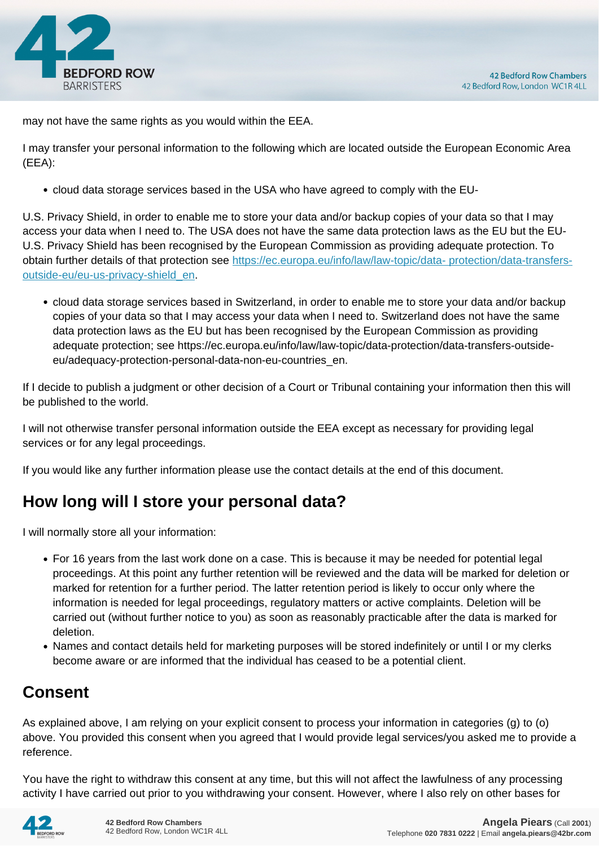

may not have the same rights as you would within the EEA.

I may transfer your personal information to the following which are located outside the European Economic Area (EEA):

cloud data storage services based in the USA who have agreed to comply with the EU-

U.S. Privacy Shield, in order to enable me to store your data and/or backup copies of your data so that I may access your data when I need to. The USA does not have the same data protection laws as the EU but the EU-U.S. Privacy Shield has been recognised by the European Commission as providing adequate protection. To obtain further details of that protection see [https://ec.europa.eu/info/law/law-topic/data- protection/data-transfers](https://ec.europa.eu/info/law/law-topic/data- protection/data-transfers-outside-eu/eu-us-privacy-shield_en)[outside-eu/eu-us-privacy-shield\\_en.](https://ec.europa.eu/info/law/law-topic/data- protection/data-transfers-outside-eu/eu-us-privacy-shield_en)

cloud data storage services based in Switzerland, in order to enable me to store your data and/or backup copies of your data so that I may access your data when I need to. Switzerland does not have the same data protection laws as the EU but has been recognised by the European Commission as providing adequate protection; see https://ec.europa.eu/info/law/law-topic/data-protection/data-transfers-outsideeu/adequacy-protection-personal-data-non-eu-countries\_en.

If I decide to publish a judgment or other decision of a Court or Tribunal containing your information then this will be published to the world.

I will not otherwise transfer personal information outside the EEA except as necessary for providing legal services or for any legal proceedings.

If you would like any further information please use the contact details at the end of this document.

# **How long will I store your personal data?**

I will normally store all your information:

- For 16 years from the last work done on a case. This is because it may be needed for potential legal proceedings. At this point any further retention will be reviewed and the data will be marked for deletion or marked for retention for a further period. The latter retention period is likely to occur only where the information is needed for legal proceedings, regulatory matters or active complaints. Deletion will be carried out (without further notice to you) as soon as reasonably practicable after the data is marked for deletion.
- Names and contact details held for marketing purposes will be stored indefinitely or until I or my clerks become aware or are informed that the individual has ceased to be a potential client.

# **Consent**

As explained above, I am relying on your explicit consent to process your information in categories (g) to (o) above. You provided this consent when you agreed that I would provide legal services/you asked me to provide a reference.

You have the right to withdraw this consent at any time, but this will not affect the lawfulness of any processing activity I have carried out prior to you withdrawing your consent. However, where I also rely on other bases for

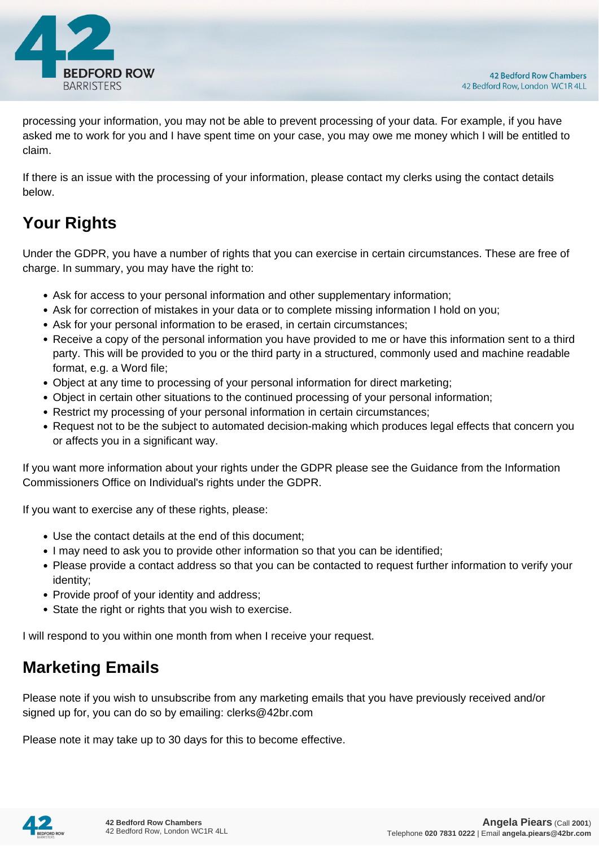

processing your information, you may not be able to prevent processing of your data. For example, if you have asked me to work for you and I have spent time on your case, you may owe me money which I will be entitled to claim.

If there is an issue with the processing of your information, please contact my clerks using the contact details below.

# **Your Rights**

Under the GDPR, you have a number of rights that you can exercise in certain circumstances. These are free of charge. In summary, you may have the right to:

- Ask for access to your personal information and other supplementary information;
- Ask for correction of mistakes in your data or to complete missing information I hold on you;
- Ask for your personal information to be erased, in certain circumstances;
- Receive a copy of the personal information you have provided to me or have this information sent to a third party. This will be provided to you or the third party in a structured, commonly used and machine readable format, e.g. a Word file;
- Object at any time to processing of your personal information for direct marketing;
- Object in certain other situations to the continued processing of your personal information;
- Restrict my processing of your personal information in certain circumstances;
- Request not to be the subject to automated decision-making which produces legal effects that concern you or affects you in a significant way.

If you want more information about your rights under the GDPR please see the Guidance from the Information Commissioners Office on Individual's rights under the GDPR.

If you want to exercise any of these rights, please:

- Use the contact details at the end of this document;
- I may need to ask you to provide other information so that you can be identified;
- Please provide a contact address so that you can be contacted to request further information to verify your identity;
- Provide proof of your identity and address;
- State the right or rights that you wish to exercise.

I will respond to you within one month from when I receive your request.

## **Marketing Emails**

Please note if you wish to unsubscribe from any marketing emails that you have previously received and/or signed up for, you can do so by emailing: clerks@42br.com

Please note it may take up to 30 days for this to become effective.